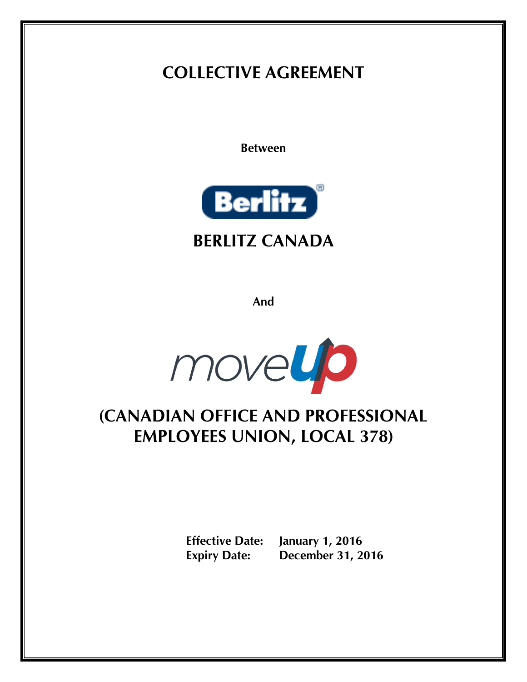# **COLLECTIVE AGREEMENT**

**Between**



# **BERLITZ CANADA**

**And**

movelle

# **(CANADIAN OFFICE AND PROFESSIONAL EMPLOYEES UNION, LOCAL 378)**

**Effective Date: January 1, 2016 Expiry Date: December 31, 2016**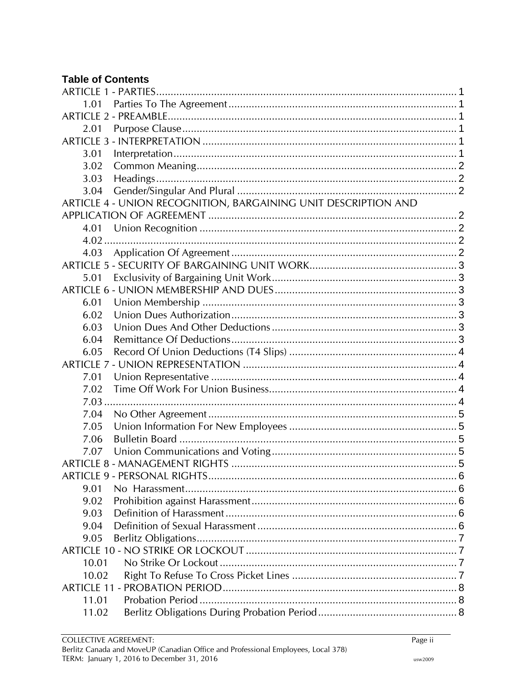# **Table of Contents**

| 1.01                                                           |  |
|----------------------------------------------------------------|--|
|                                                                |  |
| 2.01                                                           |  |
|                                                                |  |
| 3.01                                                           |  |
| 3.02                                                           |  |
| 3.03                                                           |  |
| 3.04                                                           |  |
| ARTICLE 4 - UNION RECOGNITION, BARGAINING UNIT DESCRIPTION AND |  |
|                                                                |  |
| 4.01                                                           |  |
| 4.02                                                           |  |
| 4.03                                                           |  |
|                                                                |  |
| 5.01                                                           |  |
|                                                                |  |
| 6.01                                                           |  |
| 6.02                                                           |  |
| 6.03                                                           |  |
| 6.04                                                           |  |
| 6.05                                                           |  |
|                                                                |  |
| 7.01                                                           |  |
| 7.02                                                           |  |
| 7.03                                                           |  |
| 7.04                                                           |  |
| 7.05                                                           |  |
| 7.06                                                           |  |
| 7.07                                                           |  |
|                                                                |  |
|                                                                |  |
| 9.01                                                           |  |
| 9.02                                                           |  |
| 9.03                                                           |  |
| 9.04                                                           |  |
| 9.05                                                           |  |
|                                                                |  |
| 10.01                                                          |  |
| 10.02                                                          |  |
| <b>ARTICLE 11 -</b>                                            |  |
| 11.01                                                          |  |
| 11.02                                                          |  |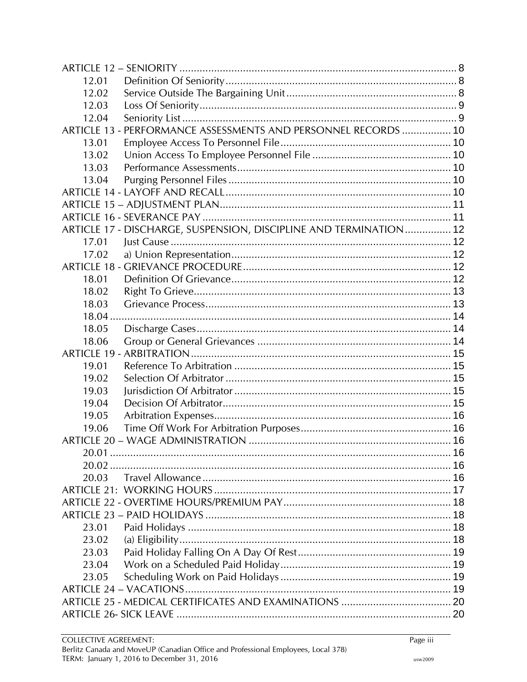| 12.01  |                                                                   |  |
|--------|-------------------------------------------------------------------|--|
| 12.02  |                                                                   |  |
| 12.03  |                                                                   |  |
| 12.04  |                                                                   |  |
|        | ARTICLE 13 - PERFORMANCE ASSESSMENTS AND PERSONNEL RECORDS  10    |  |
| 13.01  |                                                                   |  |
| 13.02  |                                                                   |  |
| 13.03  |                                                                   |  |
| 13.04  |                                                                   |  |
|        |                                                                   |  |
|        |                                                                   |  |
|        |                                                                   |  |
|        | ARTICLE 17 - DISCHARGE, SUSPENSION, DISCIPLINE AND TERMINATION 12 |  |
| 17.01  |                                                                   |  |
| 17.02  |                                                                   |  |
|        |                                                                   |  |
| 18.01  |                                                                   |  |
| 18.02  |                                                                   |  |
| 18.03  |                                                                   |  |
| 18.04. |                                                                   |  |
| 18.05  |                                                                   |  |
| 18.06  |                                                                   |  |
|        |                                                                   |  |
| 19.01  |                                                                   |  |
| 19.02  |                                                                   |  |
| 19.03  |                                                                   |  |
| 19.04  |                                                                   |  |
| 19.05  |                                                                   |  |
| 19.06  |                                                                   |  |
|        |                                                                   |  |
|        |                                                                   |  |
|        |                                                                   |  |
| 20.03  |                                                                   |  |
|        |                                                                   |  |
|        |                                                                   |  |
|        |                                                                   |  |
| 23.01  |                                                                   |  |
| 23.02  |                                                                   |  |
| 23.03  |                                                                   |  |
| 23.04  |                                                                   |  |
| 23.05  |                                                                   |  |
|        |                                                                   |  |
|        |                                                                   |  |
|        |                                                                   |  |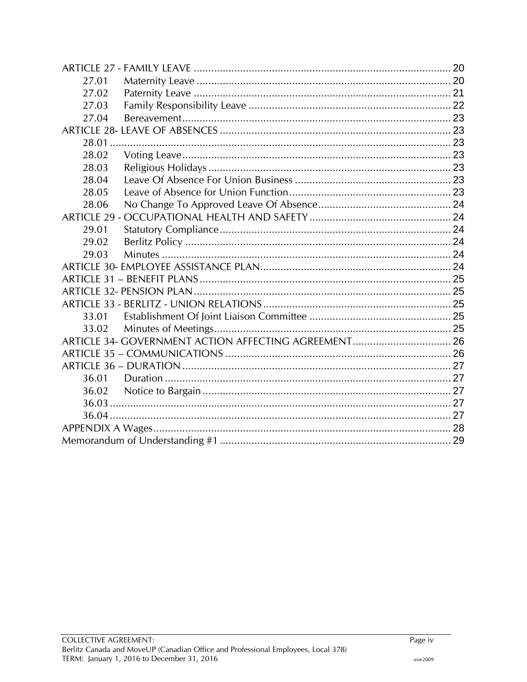| 27.01               |                                                      |  |
|---------------------|------------------------------------------------------|--|
| 27.02               |                                                      |  |
| 27.03               |                                                      |  |
| 27.04               |                                                      |  |
|                     |                                                      |  |
|                     |                                                      |  |
| 28.02               |                                                      |  |
| 28.03               |                                                      |  |
| 28.04               |                                                      |  |
| 28.05               |                                                      |  |
| 28.06               |                                                      |  |
| <b>ARTICLE 29 -</b> |                                                      |  |
| 29.01               |                                                      |  |
| 29.02               |                                                      |  |
| 29.03               |                                                      |  |
|                     |                                                      |  |
|                     |                                                      |  |
|                     |                                                      |  |
|                     |                                                      |  |
| 33.01               |                                                      |  |
| 33.02               |                                                      |  |
|                     | ARTICLE 34- GOVERNMENT ACTION AFFECTING AGREEMENT 26 |  |
|                     |                                                      |  |
|                     |                                                      |  |
| 36.01               |                                                      |  |
| 36.02               |                                                      |  |
|                     |                                                      |  |
|                     |                                                      |  |
|                     |                                                      |  |
|                     |                                                      |  |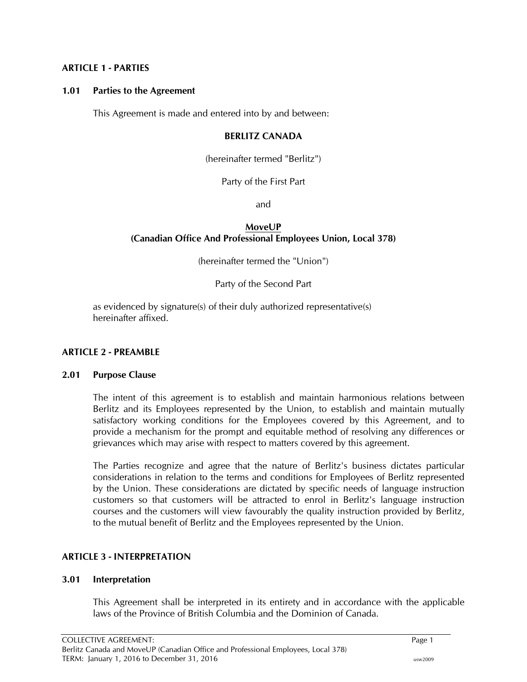#### <span id="page-4-0"></span>**ARTICLE 1 - PARTIES**

#### <span id="page-4-1"></span>**1.01 Parties to the Agreement**

This Agreement is made and entered into by and between:

#### **BERLITZ CANADA**

(hereinafter termed "Berlitz")

Party of the First Part

and

### **MoveUP (Canadian Office And Professional Employees Union, Local 378)**

(hereinafter termed the "Union")

Party of the Second Part

as evidenced by signature(s) of their duly authorized representative(s) hereinafter affixed.

#### <span id="page-4-2"></span>**ARTICLE 2 - PREAMBLE**

#### <span id="page-4-3"></span>**2.01 Purpose Clause**

The intent of this agreement is to establish and maintain harmonious relations between Berlitz and its Employees represented by the Union, to establish and maintain mutually satisfactory working conditions for the Employees covered by this Agreement, and to provide a mechanism for the prompt and equitable method of resolving any differences or grievances which may arise with respect to matters covered by this agreement.

The Parties recognize and agree that the nature of Berlitz's business dictates particular considerations in relation to the terms and conditions for Employees of Berlitz represented by the Union. These considerations are dictated by specific needs of language instruction customers so that customers will be attracted to enrol in Berlitz's language instruction courses and the customers will view favourably the quality instruction provided by Berlitz, to the mutual benefit of Berlitz and the Employees represented by the Union.

#### <span id="page-4-4"></span>**ARTICLE 3 - INTERPRETATION**

#### <span id="page-4-5"></span>**3.01 Interpretation**

This Agreement shall be interpreted in its entirety and in accordance with the applicable laws of the Province of British Columbia and the Dominion of Canada.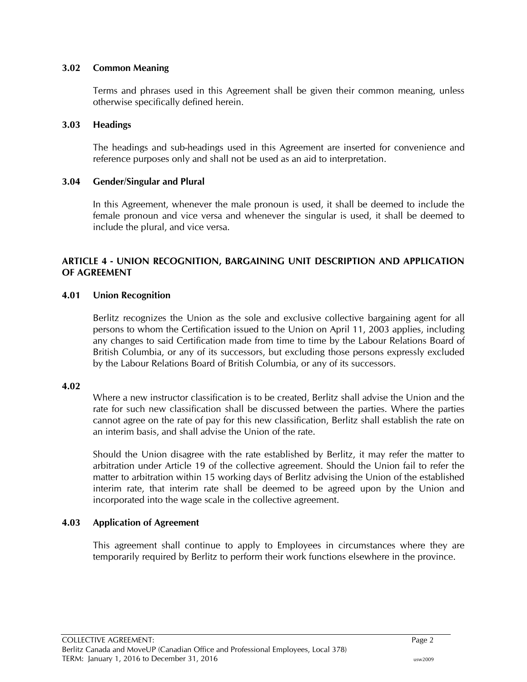#### <span id="page-5-0"></span>**3.02 Common Meaning**

Terms and phrases used in this Agreement shall be given their common meaning, unless otherwise specifically defined herein.

#### <span id="page-5-1"></span>**3.03 Headings**

The headings and sub-headings used in this Agreement are inserted for convenience and reference purposes only and shall not be used as an aid to interpretation.

#### <span id="page-5-2"></span>**3.04 Gender/Singular and Plural**

In this Agreement, whenever the male pronoun is used, it shall be deemed to include the female pronoun and vice versa and whenever the singular is used, it shall be deemed to include the plural, and vice versa.

### <span id="page-5-3"></span>**ARTICLE 4 - UNION RECOGNITION, BARGAINING UNIT DESCRIPTION AND APPLICATION OF AGREEMENT**

#### <span id="page-5-4"></span>**4.01 Union Recognition**

Berlitz recognizes the Union as the sole and exclusive collective bargaining agent for all persons to whom the Certification issued to the Union on April 11, 2003 applies, including any changes to said Certification made from time to time by the Labour Relations Board of British Columbia, or any of its successors, but excluding those persons expressly excluded by the Labour Relations Board of British Columbia, or any of its successors.

#### <span id="page-5-5"></span>**4.02**

Where a new instructor classification is to be created, Berlitz shall advise the Union and the rate for such new classification shall be discussed between the parties. Where the parties cannot agree on the rate of pay for this new classification, Berlitz shall establish the rate on an interim basis, and shall advise the Union of the rate.

Should the Union disagree with the rate established by Berlitz, it may refer the matter to arbitration under Article 19 of the collective agreement. Should the Union fail to refer the matter to arbitration within 15 working days of Berlitz advising the Union of the established interim rate, that interim rate shall be deemed to be agreed upon by the Union and incorporated into the wage scale in the collective agreement.

#### <span id="page-5-6"></span>**4.03 Application of Agreement**

This agreement shall continue to apply to Employees in circumstances where they are temporarily required by Berlitz to perform their work functions elsewhere in the province.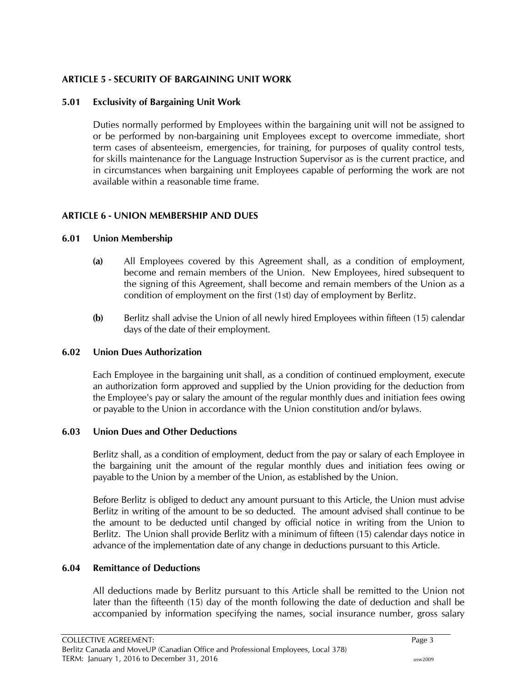# <span id="page-6-0"></span>**ARTICLE 5 - SECURITY OF BARGAINING UNIT WORK**

# <span id="page-6-1"></span>**5.01 Exclusivity of Bargaining Unit Work**

Duties normally performed by Employees within the bargaining unit will not be assigned to or be performed by non-bargaining unit Employees except to overcome immediate, short term cases of absenteeism, emergencies, for training, for purposes of quality control tests, for skills maintenance for the Language Instruction Supervisor as is the current practice, and in circumstances when bargaining unit Employees capable of performing the work are not available within a reasonable time frame.

# <span id="page-6-2"></span>**ARTICLE 6 - UNION MEMBERSHIP AND DUES**

#### <span id="page-6-3"></span>**6.01 Union Membership**

- **(a)** All Employees covered by this Agreement shall, as a condition of employment, become and remain members of the Union. New Employees, hired subsequent to the signing of this Agreement, shall become and remain members of the Union as a condition of employment on the first (1st) day of employment by Berlitz.
- **(b)** Berlitz shall advise the Union of all newly hired Employees within fifteen (15) calendar days of the date of their employment.

#### <span id="page-6-4"></span>**6.02 Union Dues Authorization**

Each Employee in the bargaining unit shall, as a condition of continued employment, execute an authorization form approved and supplied by the Union providing for the deduction from the Employee's pay or salary the amount of the regular monthly dues and initiation fees owing or payable to the Union in accordance with the Union constitution and/or bylaws.

#### <span id="page-6-5"></span>**6.03 Union Dues and Other Deductions**

Berlitz shall, as a condition of employment, deduct from the pay or salary of each Employee in the bargaining unit the amount of the regular monthly dues and initiation fees owing or payable to the Union by a member of the Union, as established by the Union.

Before Berlitz is obliged to deduct any amount pursuant to this Article, the Union must advise Berlitz in writing of the amount to be so deducted. The amount advised shall continue to be the amount to be deducted until changed by official notice in writing from the Union to Berlitz. The Union shall provide Berlitz with a minimum of fifteen (15) calendar days notice in advance of the implementation date of any change in deductions pursuant to this Article.

# <span id="page-6-6"></span>**6.04 Remittance of Deductions**

All deductions made by Berlitz pursuant to this Article shall be remitted to the Union not later than the fifteenth (15) day of the month following the date of deduction and shall be accompanied by information specifying the names, social insurance number, gross salary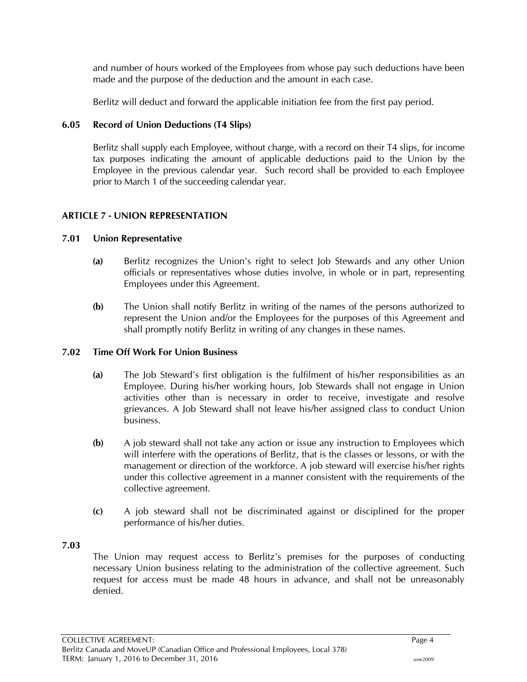and number of hours worked of the Employees from whose pay such deductions have been made and the purpose of the deduction and the amount in each case.

Berlitz will deduct and forward the applicable initiation fee from the first pay period.

### <span id="page-7-0"></span>**6.05 Record of Union Deductions (T4 Slips)**

Berlitz shall supply each Employee, without charge, with a record on their T4 slips, for income tax purposes indicating the amount of applicable deductions paid to the Union by the Employee in the previous calendar year. Such record shall be provided to each Employee prior to March 1 of the succeeding calendar year.

# <span id="page-7-1"></span>**ARTICLE 7 - UNION REPRESENTATION**

#### <span id="page-7-2"></span>**7.01 Union Representative**

- **(a)** Berlitz recognizes the Union's right to select Job Stewards and any other Union officials or representatives whose duties involve, in whole or in part, representing Employees under this Agreement.
- **(b)** The Union shall notify Berlitz in writing of the names of the persons authorized to represent the Union and/or the Employees for the purposes of this Agreement and shall promptly notify Berlitz in writing of any changes in these names.

#### <span id="page-7-3"></span>**7.02 Time Off Work For Union Business**

- **(a)** The Job Steward's first obligation is the fulfilment of his/her responsibilities as an Employee. During his/her working hours, Job Stewards shall not engage in Union activities other than is necessary in order to receive, investigate and resolve grievances. A Job Steward shall not leave his/her assigned class to conduct Union business.
- **(b)** A job steward shall not take any action or issue any instruction to Employees which will interfere with the operations of Berlitz, that is the classes or lessons, or with the management or direction of the workforce. A job steward will exercise his/her rights under this collective agreement in a manner consistent with the requirements of the collective agreement.
- **(c)** A job steward shall not be discriminated against or disciplined for the proper performance of his/her duties.

#### <span id="page-7-4"></span>**7.03**

The Union may request access to Berlitz's premises for the purposes of conducting necessary Union business relating to the administration of the collective agreement. Such request for access must be made 48 hours in advance, and shall not be unreasonably denied.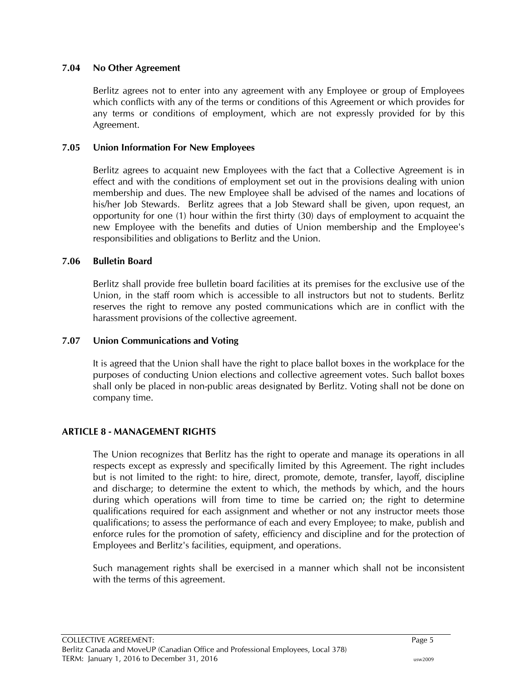#### <span id="page-8-0"></span>**7.04 No Other Agreement**

Berlitz agrees not to enter into any agreement with any Employee or group of Employees which conflicts with any of the terms or conditions of this Agreement or which provides for any terms or conditions of employment, which are not expressly provided for by this Agreement.

# <span id="page-8-1"></span>**7.05 Union Information For New Employees**

Berlitz agrees to acquaint new Employees with the fact that a Collective Agreement is in effect and with the conditions of employment set out in the provisions dealing with union membership and dues. The new Employee shall be advised of the names and locations of his/her Job Stewards. Berlitz agrees that a Job Steward shall be given, upon request, an opportunity for one (1) hour within the first thirty (30) days of employment to acquaint the new Employee with the benefits and duties of Union membership and the Employee's responsibilities and obligations to Berlitz and the Union.

# <span id="page-8-2"></span>**7.06 Bulletin Board**

Berlitz shall provide free bulletin board facilities at its premises for the exclusive use of the Union, in the staff room which is accessible to all instructors but not to students. Berlitz reserves the right to remove any posted communications which are in conflict with the harassment provisions of the collective agreement.

#### <span id="page-8-3"></span>**7.07 Union Communications and Voting**

It is agreed that the Union shall have the right to place ballot boxes in the workplace for the purposes of conducting Union elections and collective agreement votes. Such ballot boxes shall only be placed in non-public areas designated by Berlitz. Voting shall not be done on company time.

# <span id="page-8-4"></span>**ARTICLE 8 - MANAGEMENT RIGHTS**

The Union recognizes that Berlitz has the right to operate and manage its operations in all respects except as expressly and specifically limited by this Agreement. The right includes but is not limited to the right: to hire, direct, promote, demote, transfer, layoff, discipline and discharge; to determine the extent to which, the methods by which, and the hours during which operations will from time to time be carried on; the right to determine qualifications required for each assignment and whether or not any instructor meets those qualifications; to assess the performance of each and every Employee; to make, publish and enforce rules for the promotion of safety, efficiency and discipline and for the protection of Employees and Berlitz's facilities, equipment, and operations.

Such management rights shall be exercised in a manner which shall not be inconsistent with the terms of this agreement.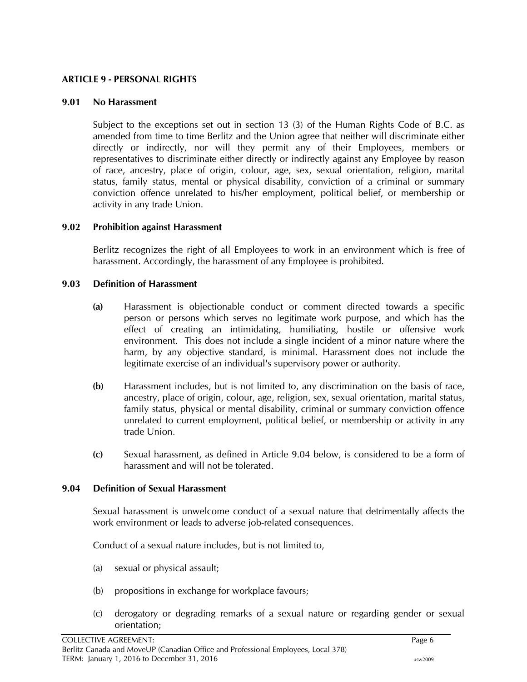#### <span id="page-9-0"></span>**ARTICLE 9 - PERSONAL RIGHTS**

#### <span id="page-9-1"></span>**9.01 No Harassment**

Subject to the exceptions set out in section 13 (3) of the Human Rights Code of B.C. as amended from time to time Berlitz and the Union agree that neither will discriminate either directly or indirectly, nor will they permit any of their Employees, members or representatives to discriminate either directly or indirectly against any Employee by reason of race, ancestry, place of origin, colour, age, sex, sexual orientation, religion, marital status, family status, mental or physical disability, conviction of a criminal or summary conviction offence unrelated to his/her employment, political belief, or membership or activity in any trade Union.

#### <span id="page-9-2"></span>**9.02 Prohibition against Harassment**

Berlitz recognizes the right of all Employees to work in an environment which is free of harassment. Accordingly, the harassment of any Employee is prohibited.

#### <span id="page-9-3"></span>**9.03 Definition of Harassment**

- **(a)** Harassment is objectionable conduct or comment directed towards a specific person or persons which serves no legitimate work purpose, and which has the effect of creating an intimidating, humiliating, hostile or offensive work environment. This does not include a single incident of a minor nature where the harm, by any objective standard, is minimal. Harassment does not include the legitimate exercise of an individual's supervisory power or authority.
- **(b)** Harassment includes, but is not limited to, any discrimination on the basis of race, ancestry, place of origin, colour, age, religion, sex, sexual orientation, marital status, family status, physical or mental disability, criminal or summary conviction offence unrelated to current employment, political belief, or membership or activity in any trade Union.
- **(c)** Sexual harassment, as defined in Article 9.04 below, is considered to be a form of harassment and will not be tolerated.

#### <span id="page-9-4"></span>**9.04 Definition of Sexual Harassment**

Sexual harassment is unwelcome conduct of a sexual nature that detrimentally affects the work environment or leads to adverse job-related consequences.

Conduct of a sexual nature includes, but is not limited to,

- (a) sexual or physical assault;
- (b) propositions in exchange for workplace favours;
- (c) derogatory or degrading remarks of a sexual nature or regarding gender or sexual orientation;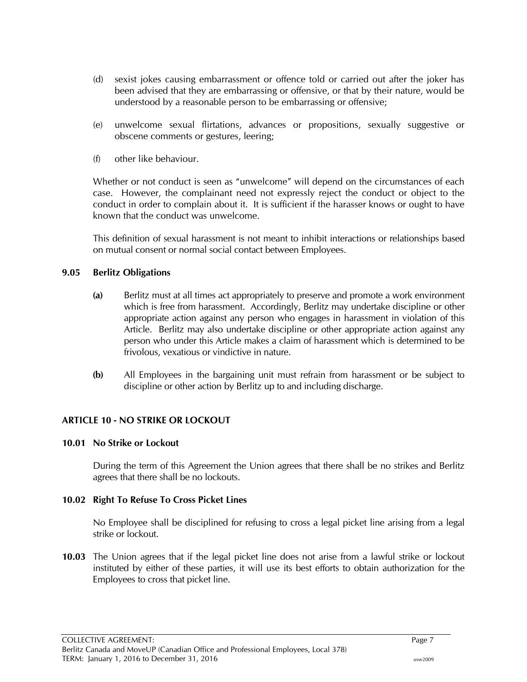- (d) sexist jokes causing embarrassment or offence told or carried out after the joker has been advised that they are embarrassing or offensive, or that by their nature, would be understood by a reasonable person to be embarrassing or offensive;
- (e) unwelcome sexual flirtations, advances or propositions, sexually suggestive or obscene comments or gestures, leering;
- (f) other like behaviour.

Whether or not conduct is seen as "unwelcome" will depend on the circumstances of each case. However, the complainant need not expressly reject the conduct or object to the conduct in order to complain about it. It is sufficient if the harasser knows or ought to have known that the conduct was unwelcome.

This definition of sexual harassment is not meant to inhibit interactions or relationships based on mutual consent or normal social contact between Employees.

# <span id="page-10-0"></span>**9.05 Berlitz Obligations**

- **(a)** Berlitz must at all times act appropriately to preserve and promote a work environment which is free from harassment. Accordingly, Berlitz may undertake discipline or other appropriate action against any person who engages in harassment in violation of this Article. Berlitz may also undertake discipline or other appropriate action against any person who under this Article makes a claim of harassment which is determined to be frivolous, vexatious or vindictive in nature.
- **(b)** All Employees in the bargaining unit must refrain from harassment or be subject to discipline or other action by Berlitz up to and including discharge.

# <span id="page-10-1"></span>**ARTICLE 10 - NO STRIKE OR LOCKOUT**

#### <span id="page-10-2"></span>**10.01 No Strike or Lockout**

During the term of this Agreement the Union agrees that there shall be no strikes and Berlitz agrees that there shall be no lockouts.

#### <span id="page-10-3"></span>**10.02 Right To Refuse To Cross Picket Lines**

No Employee shall be disciplined for refusing to cross a legal picket line arising from a legal strike or lockout.

**10.03** The Union agrees that if the legal picket line does not arise from a lawful strike or lockout instituted by either of these parties, it will use its best efforts to obtain authorization for the Employees to cross that picket line.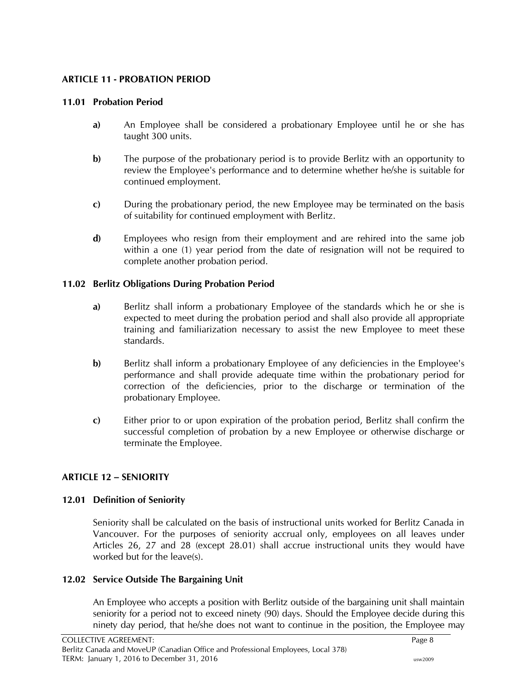# <span id="page-11-0"></span>**ARTICLE 11 - PROBATION PERIOD**

# <span id="page-11-1"></span>**11.01 Probation Period**

- **a)** An Employee shall be considered a probationary Employee until he or she has taught 300 units.
- **b)** The purpose of the probationary period is to provide Berlitz with an opportunity to review the Employee's performance and to determine whether he/she is suitable for continued employment.
- **c)** During the probationary period, the new Employee may be terminated on the basis of suitability for continued employment with Berlitz.
- **d)** Employees who resign from their employment and are rehired into the same job within a one (1) year period from the date of resignation will not be required to complete another probation period.

# <span id="page-11-2"></span>**11.02 Berlitz Obligations During Probation Period**

- **a)** Berlitz shall inform a probationary Employee of the standards which he or she is expected to meet during the probation period and shall also provide all appropriate training and familiarization necessary to assist the new Employee to meet these standards.
- **b**) Berlitz shall inform a probationary Employee of any deficiencies in the Employee's performance and shall provide adequate time within the probationary period for correction of the deficiencies, prior to the discharge or termination of the probationary Employee.
- **c)** Either prior to or upon expiration of the probation period, Berlitz shall confirm the successful completion of probation by a new Employee or otherwise discharge or terminate the Employee.

# <span id="page-11-3"></span>**ARTICLE 12 – SENIORITY**

# <span id="page-11-4"></span>**12.01 Definition of Seniority**

Seniority shall be calculated on the basis of instructional units worked for Berlitz Canada in Vancouver. For the purposes of seniority accrual only, employees on all leaves under Articles 26, 27 and 28 (except 28.01) shall accrue instructional units they would have worked but for the leave(s).

# <span id="page-11-5"></span>**12.02 Service Outside The Bargaining Unit**

An Employee who accepts a position with Berlitz outside of the bargaining unit shall maintain seniority for a period not to exceed ninety (90) days. Should the Employee decide during this ninety day period, that he/she does not want to continue in the position, the Employee may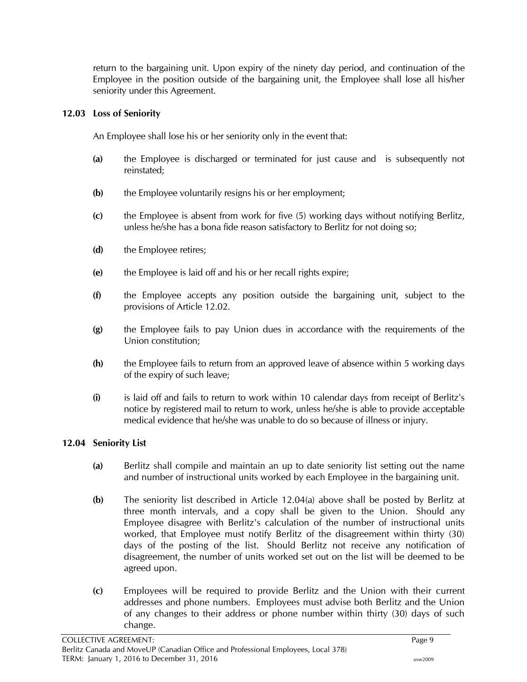return to the bargaining unit. Upon expiry of the ninety day period, and continuation of the Employee in the position outside of the bargaining unit, the Employee shall lose all his/her seniority under this Agreement.

# <span id="page-12-0"></span>**12.03 Loss of Seniority**

An Employee shall lose his or her seniority only in the event that:

- **(a)** the Employee is discharged or terminated for just cause and is subsequently not reinstated;
- **(b)** the Employee voluntarily resigns his or her employment;
- **(c)** the Employee is absent from work for five (5) working days without notifying Berlitz, unless he/she has a bona fide reason satisfactory to Berlitz for not doing so;
- **(d)** the Employee retires;
- **(e)** the Employee is laid off and his or her recall rights expire;
- **(f)** the Employee accepts any position outside the bargaining unit, subject to the provisions of Article 12.02.
- **(g)** the Employee fails to pay Union dues in accordance with the requirements of the Union constitution;
- **(h)** the Employee fails to return from an approved leave of absence within 5 working days of the expiry of such leave;
- **(i)** is laid off and fails to return to work within 10 calendar days from receipt of Berlitz's notice by registered mail to return to work, unless he/she is able to provide acceptable medical evidence that he/she was unable to do so because of illness or injury.

# <span id="page-12-1"></span>**12.04 Seniority List**

- **(a)** Berlitz shall compile and maintain an up to date seniority list setting out the name and number of instructional units worked by each Employee in the bargaining unit.
- **(b)** The seniority list described in Article 12.04(a) above shall be posted by Berlitz at three month intervals, and a copy shall be given to the Union. Should any Employee disagree with Berlitz's calculation of the number of instructional units worked, that Employee must notify Berlitz of the disagreement within thirty (30) days of the posting of the list. Should Berlitz not receive any notification of disagreement, the number of units worked set out on the list will be deemed to be agreed upon.
- **(c)** Employees will be required to provide Berlitz and the Union with their current addresses and phone numbers. Employees must advise both Berlitz and the Union of any changes to their address or phone number within thirty (30) days of such change.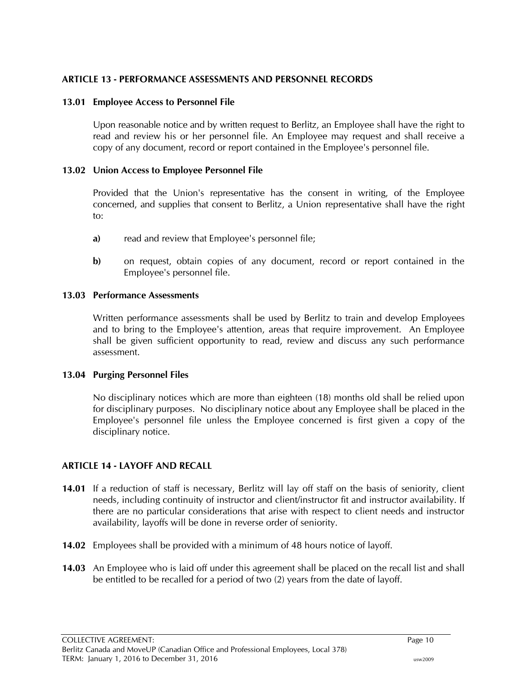# <span id="page-13-0"></span>**ARTICLE 13 - PERFORMANCE ASSESSMENTS AND PERSONNEL RECORDS**

### <span id="page-13-1"></span>**13.01 Employee Access to Personnel File**

Upon reasonable notice and by written request to Berlitz, an Employee shall have the right to read and review his or her personnel file. An Employee may request and shall receive a copy of any document, record or report contained in the Employee's personnel file.

### <span id="page-13-2"></span>**13.02 Union Access to Employee Personnel File**

Provided that the Union's representative has the consent in writing, of the Employee concerned, and supplies that consent to Berlitz, a Union representative shall have the right to:

- **a)** read and review that Employee's personnel file;
- **b)** on request, obtain copies of any document, record or report contained in the Employee's personnel file.

#### <span id="page-13-3"></span>**13.03 Performance Assessments**

Written performance assessments shall be used by Berlitz to train and develop Employees and to bring to the Employee's attention, areas that require improvement. An Employee shall be given sufficient opportunity to read, review and discuss any such performance assessment.

#### <span id="page-13-4"></span>**13.04 Purging Personnel Files**

No disciplinary notices which are more than eighteen (18) months old shall be relied upon for disciplinary purposes. No disciplinary notice about any Employee shall be placed in the Employee's personnel file unless the Employee concerned is first given a copy of the disciplinary notice.

# <span id="page-13-5"></span>**ARTICLE 14 - LAYOFF AND RECALL**

- **14.01** If a reduction of staff is necessary, Berlitz will lay off staff on the basis of seniority, client needs, including continuity of instructor and client/instructor fit and instructor availability. If there are no particular considerations that arise with respect to client needs and instructor availability, layoffs will be done in reverse order of seniority.
- **14.02** Employees shall be provided with a minimum of 48 hours notice of layoff.
- **14.03** An Employee who is laid off under this agreement shall be placed on the recall list and shall be entitled to be recalled for a period of two (2) years from the date of layoff.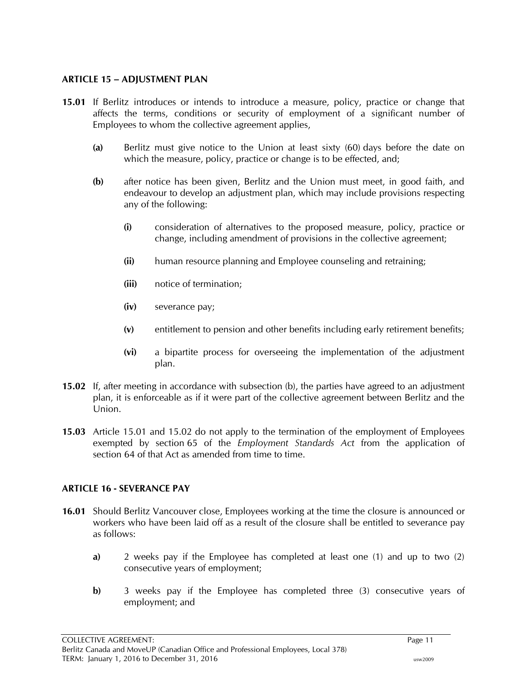### <span id="page-14-0"></span>**ARTICLE 15 – ADJUSTMENT PLAN**

- **15.01** If Berlitz introduces or intends to introduce a measure, policy, practice or change that affects the terms, conditions or security of employment of a significant number of Employees to whom the collective agreement applies,
	- **(a)** Berlitz must give notice to the Union at least sixty (60) days before the date on which the measure, policy, practice or change is to be effected, and;
	- **(b)** after notice has been given, Berlitz and the Union must meet, in good faith, and endeavour to develop an adjustment plan, which may include provisions respecting any of the following:
		- **(i)** consideration of alternatives to the proposed measure, policy, practice or change, including amendment of provisions in the collective agreement;
		- **(ii)** human resource planning and Employee counseling and retraining;
		- **(iii)** notice of termination;
		- **(iv)** severance pay;
		- **(v)** entitlement to pension and other benefits including early retirement benefits;
		- **(vi)** a bipartite process for overseeing the implementation of the adjustment plan.
- **15.02** If, after meeting in accordance with subsection (b), the parties have agreed to an adjustment plan, it is enforceable as if it were part of the collective agreement between Berlitz and the Union.
- **15.03** Article 15.01 and 15.02 do not apply to the termination of the employment of Employees exempted by section 65 of the *Employment Standards Act* from the application of section 64 of that Act as amended from time to time.

# <span id="page-14-1"></span>**ARTICLE 16 - SEVERANCE PAY**

- **16.01** Should Berlitz Vancouver close, Employees working at the time the closure is announced or workers who have been laid off as a result of the closure shall be entitled to severance pay as follows:
	- **a)** 2 weeks pay if the Employee has completed at least one (1) and up to two (2) consecutive years of employment;
	- **b)** 3 weeks pay if the Employee has completed three (3) consecutive years of employment; and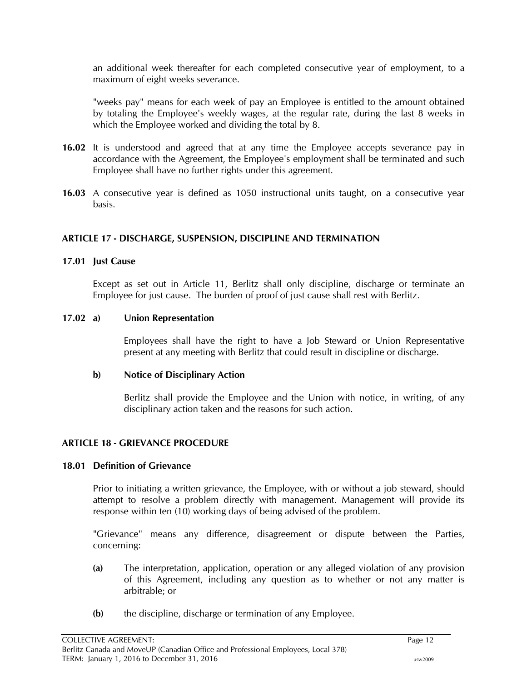an additional week thereafter for each completed consecutive year of employment, to a maximum of eight weeks severance.

"weeks pay" means for each week of pay an Employee is entitled to the amount obtained by totaling the Employee's weekly wages, at the regular rate, during the last 8 weeks in which the Employee worked and dividing the total by 8.

- **16.02** It is understood and agreed that at any time the Employee accepts severance pay in accordance with the Agreement, the Employee's employment shall be terminated and such Employee shall have no further rights under this agreement.
- **16.03** A consecutive year is defined as 1050 instructional units taught, on a consecutive year basis.

# <span id="page-15-0"></span>**ARTICLE 17 - DISCHARGE, SUSPENSION, DISCIPLINE AND TERMINATION**

#### <span id="page-15-1"></span>**17.01 Just Cause**

Except as set out in Article 11, Berlitz shall only discipline, discharge or terminate an Employee for just cause. The burden of proof of just cause shall rest with Berlitz.

#### <span id="page-15-2"></span>**17.02 a) Union Representation**

Employees shall have the right to have a Job Steward or Union Representative present at any meeting with Berlitz that could result in discipline or discharge.

#### **b) Notice of Disciplinary Action**

Berlitz shall provide the Employee and the Union with notice, in writing, of any disciplinary action taken and the reasons for such action.

#### <span id="page-15-3"></span>**ARTICLE 18 - GRIEVANCE PROCEDURE**

#### <span id="page-15-4"></span>**18.01 Definition of Grievance**

Prior to initiating a written grievance, the Employee, with or without a job steward, should attempt to resolve a problem directly with management. Management will provide its response within ten (10) working days of being advised of the problem.

"Grievance" means any difference, disagreement or dispute between the Parties, concerning:

- **(a)** The interpretation, application, operation or any alleged violation of any provision of this Agreement, including any question as to whether or not any matter is arbitrable; or
- **(b)** the discipline, discharge or termination of any Employee.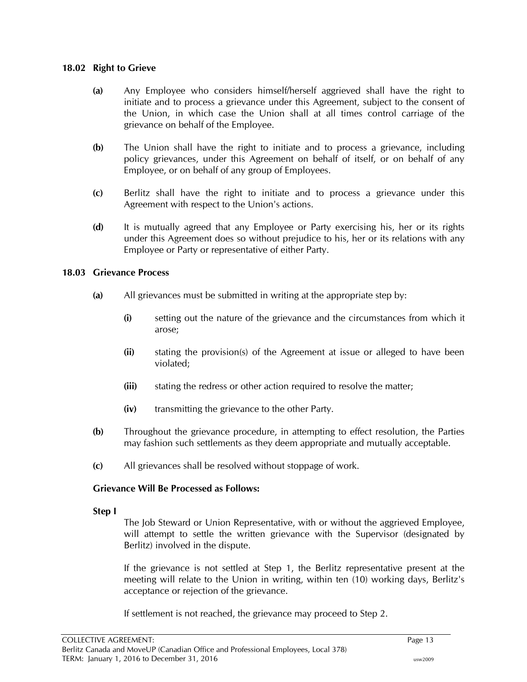#### <span id="page-16-0"></span>**18.02 Right to Grieve**

- **(a)** Any Employee who considers himself/herself aggrieved shall have the right to initiate and to process a grievance under this Agreement, subject to the consent of the Union, in which case the Union shall at all times control carriage of the grievance on behalf of the Employee.
- **(b)** The Union shall have the right to initiate and to process a grievance, including policy grievances, under this Agreement on behalf of itself, or on behalf of any Employee, or on behalf of any group of Employees.
- **(c)** Berlitz shall have the right to initiate and to process a grievance under this Agreement with respect to the Union's actions.
- **(d)** It is mutually agreed that any Employee or Party exercising his, her or its rights under this Agreement does so without prejudice to his, her or its relations with any Employee or Party or representative of either Party.

#### <span id="page-16-1"></span>**18.03 Grievance Process**

- **(a)** All grievances must be submitted in writing at the appropriate step by:
	- **(i)** setting out the nature of the grievance and the circumstances from which it arose;
	- **(ii)** stating the provision(s) of the Agreement at issue or alleged to have been violated;
	- **(iii)** stating the redress or other action required to resolve the matter;
	- **(iv)** transmitting the grievance to the other Party.
- **(b)** Throughout the grievance procedure, in attempting to effect resolution, the Parties may fashion such settlements as they deem appropriate and mutually acceptable.
- **(c)** All grievances shall be resolved without stoppage of work.

#### **Grievance Will Be Processed as Follows:**

#### **Step I**

The Job Steward or Union Representative, with or without the aggrieved Employee, will attempt to settle the written grievance with the Supervisor (designated by Berlitz) involved in the dispute.

If the grievance is not settled at Step 1, the Berlitz representative present at the meeting will relate to the Union in writing, within ten (10) working days, Berlitz's acceptance or rejection of the grievance.

If settlement is not reached, the grievance may proceed to Step 2.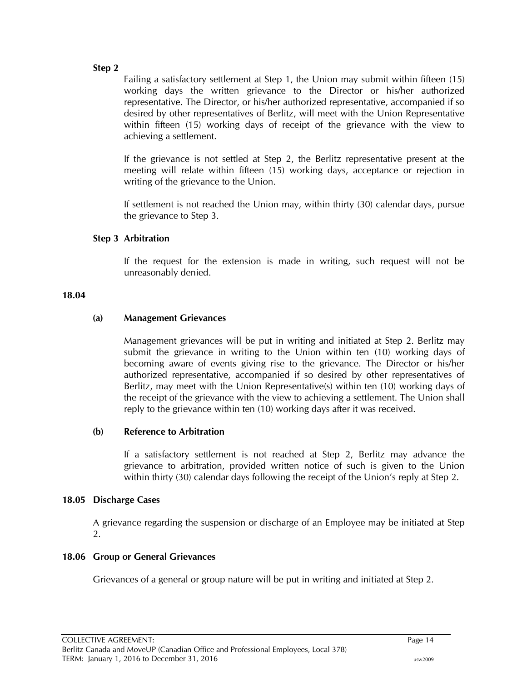#### **Step 2**

Failing a satisfactory settlement at Step 1, the Union may submit within fifteen (15) working days the written grievance to the Director or his/her authorized representative. The Director, or his/her authorized representative, accompanied if so desired by other representatives of Berlitz, will meet with the Union Representative within fifteen (15) working days of receipt of the grievance with the view to achieving a settlement.

If the grievance is not settled at Step 2, the Berlitz representative present at the meeting will relate within fifteen (15) working days, acceptance or rejection in writing of the grievance to the Union.

If settlement is not reached the Union may, within thirty (30) calendar days, pursue the grievance to Step 3.

#### **Step 3 Arbitration**

If the request for the extension is made in writing, such request will not be unreasonably denied.

#### <span id="page-17-0"></span>**18.04**

#### **(a) Management Grievances**

Management grievances will be put in writing and initiated at Step 2. Berlitz may submit the grievance in writing to the Union within ten (10) working days of becoming aware of events giving rise to the grievance. The Director or his/her authorized representative, accompanied if so desired by other representatives of Berlitz, may meet with the Union Representative(s) within ten (10) working days of the receipt of the grievance with the view to achieving a settlement. The Union shall reply to the grievance within ten (10) working days after it was received.

#### **(b) Reference to Arbitration**

If a satisfactory settlement is not reached at Step 2, Berlitz may advance the grievance to arbitration, provided written notice of such is given to the Union within thirty (30) calendar days following the receipt of the Union's reply at Step 2.

#### <span id="page-17-1"></span>**18.05 Discharge Cases**

A grievance regarding the suspension or discharge of an Employee may be initiated at Step 2.

#### <span id="page-17-2"></span>**18.06 Group or General Grievances**

Grievances of a general or group nature will be put in writing and initiated at Step 2.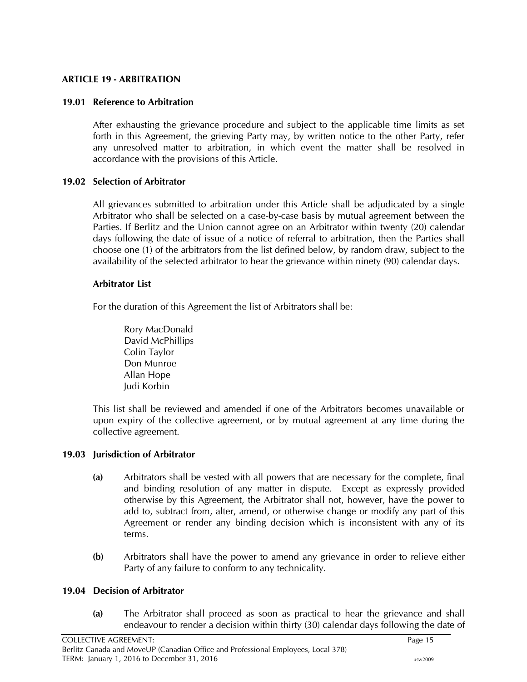# <span id="page-18-0"></span>**ARTICLE 19 - ARBITRATION**

# <span id="page-18-1"></span>**19.01 Reference to Arbitration**

After exhausting the grievance procedure and subject to the applicable time limits as set forth in this Agreement, the grieving Party may, by written notice to the other Party, refer any unresolved matter to arbitration, in which event the matter shall be resolved in accordance with the provisions of this Article.

#### <span id="page-18-2"></span>**19.02 Selection of Arbitrator**

All grievances submitted to arbitration under this Article shall be adjudicated by a single Arbitrator who shall be selected on a case-by-case basis by mutual agreement between the Parties. If Berlitz and the Union cannot agree on an Arbitrator within twenty (20) calendar days following the date of issue of a notice of referral to arbitration, then the Parties shall choose one (1) of the arbitrators from the list defined below, by random draw, subject to the availability of the selected arbitrator to hear the grievance within ninety (90) calendar days.

# **Arbitrator List**

For the duration of this Agreement the list of Arbitrators shall be:

Rory MacDonald David McPhillips Colin Taylor Don Munroe Allan Hope Judi Korbin

This list shall be reviewed and amended if one of the Arbitrators becomes unavailable or upon expiry of the collective agreement, or by mutual agreement at any time during the collective agreement.

#### <span id="page-18-3"></span>**19.03 Jurisdiction of Arbitrator**

- **(a)** Arbitrators shall be vested with all powers that are necessary for the complete, final and binding resolution of any matter in dispute. Except as expressly provided otherwise by this Agreement, the Arbitrator shall not, however, have the power to add to, subtract from, alter, amend, or otherwise change or modify any part of this Agreement or render any binding decision which is inconsistent with any of its terms.
- **(b)** Arbitrators shall have the power to amend any grievance in order to relieve either Party of any failure to conform to any technicality.

# <span id="page-18-4"></span>**19.04 Decision of Arbitrator**

**(a)** The Arbitrator shall proceed as soon as practical to hear the grievance and shall endeavour to render a decision within thirty (30) calendar days following the date of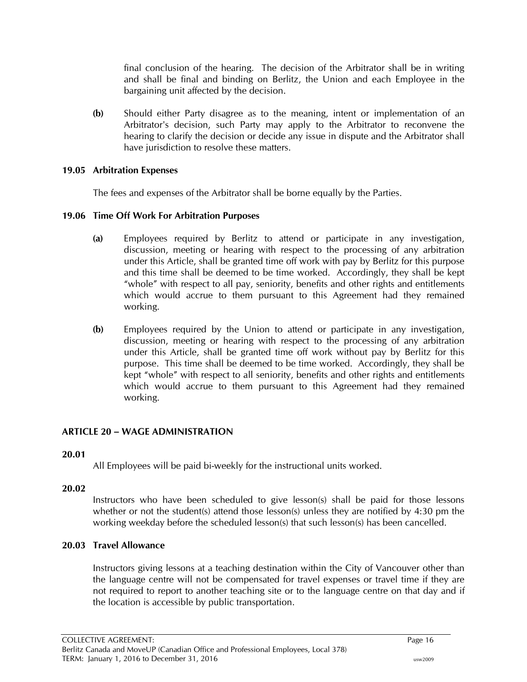final conclusion of the hearing. The decision of the Arbitrator shall be in writing and shall be final and binding on Berlitz, the Union and each Employee in the bargaining unit affected by the decision.

**(b)** Should either Party disagree as to the meaning, intent or implementation of an Arbitrator's decision, such Party may apply to the Arbitrator to reconvene the hearing to clarify the decision or decide any issue in dispute and the Arbitrator shall have jurisdiction to resolve these matters.

### <span id="page-19-0"></span>**19.05 Arbitration Expenses**

The fees and expenses of the Arbitrator shall be borne equally by the Parties.

# <span id="page-19-1"></span>**19.06 Time Off Work For Arbitration Purposes**

- **(a)** Employees required by Berlitz to attend or participate in any investigation, discussion, meeting or hearing with respect to the processing of any arbitration under this Article, shall be granted time off work with pay by Berlitz for this purpose and this time shall be deemed to be time worked. Accordingly, they shall be kept "whole" with respect to all pay, seniority, benefits and other rights and entitlements which would accrue to them pursuant to this Agreement had they remained working.
- **(b)** Employees required by the Union to attend or participate in any investigation, discussion, meeting or hearing with respect to the processing of any arbitration under this Article, shall be granted time off work without pay by Berlitz for this purpose. This time shall be deemed to be time worked. Accordingly, they shall be kept "whole" with respect to all seniority, benefits and other rights and entitlements which would accrue to them pursuant to this Agreement had they remained working.

# <span id="page-19-2"></span>**ARTICLE 20 – WAGE ADMINISTRATION**

#### <span id="page-19-3"></span>**20.01**

All Employees will be paid bi-weekly for the instructional units worked.

#### <span id="page-19-4"></span>**20.02**

Instructors who have been scheduled to give lesson(s) shall be paid for those lessons whether or not the student(s) attend those lesson(s) unless they are notified by  $4:30$  pm the working weekday before the scheduled lesson(s) that such lesson(s) has been cancelled.

# <span id="page-19-5"></span>**20.03 Travel Allowance**

Instructors giving lessons at a teaching destination within the City of Vancouver other than the language centre will not be compensated for travel expenses or travel time if they are not required to report to another teaching site or to the language centre on that day and if the location is accessible by public transportation.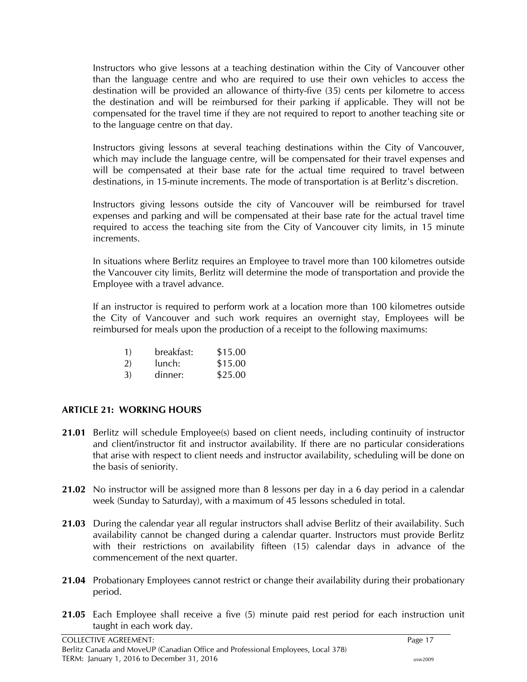Instructors who give lessons at a teaching destination within the City of Vancouver other than the language centre and who are required to use their own vehicles to access the destination will be provided an allowance of thirty-five (35) cents per kilometre to access the destination and will be reimbursed for their parking if applicable. They will not be compensated for the travel time if they are not required to report to another teaching site or to the language centre on that day.

Instructors giving lessons at several teaching destinations within the City of Vancouver, which may include the language centre, will be compensated for their travel expenses and will be compensated at their base rate for the actual time required to travel between destinations, in 15-minute increments. The mode of transportation is at Berlitz's discretion.

Instructors giving lessons outside the city of Vancouver will be reimbursed for travel expenses and parking and will be compensated at their base rate for the actual travel time required to access the teaching site from the City of Vancouver city limits, in 15 minute increments.

In situations where Berlitz requires an Employee to travel more than 100 kilometres outside the Vancouver city limits, Berlitz will determine the mode of transportation and provide the Employee with a travel advance.

If an instructor is required to perform work at a location more than 100 kilometres outside the City of Vancouver and such work requires an overnight stay, Employees will be reimbursed for meals upon the production of a receipt to the following maximums:

| <sup>1</sup> | breakfast: | \$15.00 |
|--------------|------------|---------|
| 2)           | lunch:     | \$15.00 |
| 3)           | dinner:    | \$25.00 |

# <span id="page-20-0"></span>**ARTICLE 21: WORKING HOURS**

- **21.01** Berlitz will schedule Employee(s) based on client needs, including continuity of instructor and client/instructor fit and instructor availability. If there are no particular considerations that arise with respect to client needs and instructor availability, scheduling will be done on the basis of seniority.
- **21.02** No instructor will be assigned more than 8 lessons per day in a 6 day period in a calendar week (Sunday to Saturday), with a maximum of 45 lessons scheduled in total.
- **21.03** During the calendar year all regular instructors shall advise Berlitz of their availability. Such availability cannot be changed during a calendar quarter. Instructors must provide Berlitz with their restrictions on availability fifteen (15) calendar days in advance of the commencement of the next quarter.
- **21.04** Probationary Employees cannot restrict or change their availability during their probationary period.
- **21.05** Each Employee shall receive a five (5) minute paid rest period for each instruction unit taught in each work day.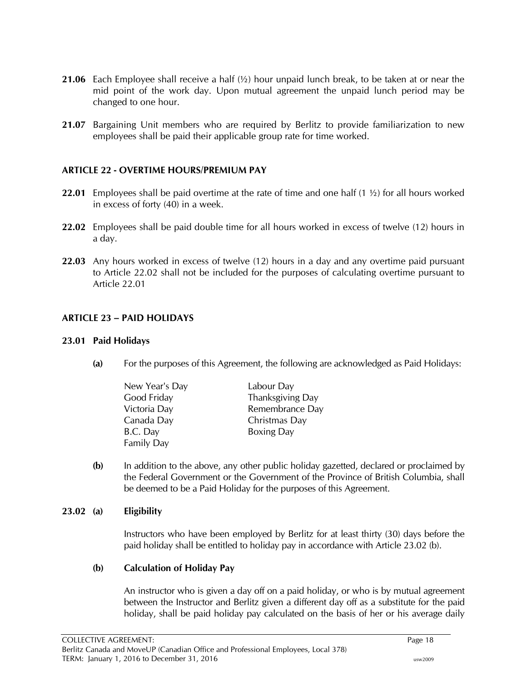- **21.06** Each Employee shall receive a half (½) hour unpaid lunch break, to be taken at or near the mid point of the work day. Upon mutual agreement the unpaid lunch period may be changed to one hour.
- **21.07** Bargaining Unit members who are required by Berlitz to provide familiarization to new employees shall be paid their applicable group rate for time worked.

#### <span id="page-21-0"></span>**ARTICLE 22 - OVERTIME HOURS/PREMIUM PAY**

- **22.01** Employees shall be paid overtime at the rate of time and one half (1 ½) for all hours worked in excess of forty (40) in a week.
- **22.02** Employees shall be paid double time for all hours worked in excess of twelve (12) hours in a day.
- **22.03** Any hours worked in excess of twelve (12) hours in a day and any overtime paid pursuant to Article 22.02 shall not be included for the purposes of calculating overtime pursuant to Article 22.01

# <span id="page-21-1"></span>**ARTICLE 23 – PAID HOLIDAYS**

#### <span id="page-21-2"></span>**23.01 Paid Holidays**

**(a)** For the purposes of this Agreement, the following are acknowledged as Paid Holidays:

| New Year's Day    | Labour Day        |
|-------------------|-------------------|
| Good Friday       | Thanksgiving Day  |
| Victoria Day      | Remembrance Day   |
| Canada Day        | Christmas Day     |
| B.C. Day          | <b>Boxing Day</b> |
| <b>Family Day</b> |                   |

**(b)** In addition to the above, any other public holiday gazetted, declared or proclaimed by the Federal Government or the Government of the Province of British Columbia, shall be deemed to be a Paid Holiday for the purposes of this Agreement.

#### <span id="page-21-3"></span>**23.02 (a) Eligibility**

Instructors who have been employed by Berlitz for at least thirty (30) days before the paid holiday shall be entitled to holiday pay in accordance with Article 23.02 (b).

#### **(b) Calculation of Holiday Pay**

An instructor who is given a day off on a paid holiday, or who is by mutual agreement between the Instructor and Berlitz given a different day off as a substitute for the paid holiday, shall be paid holiday pay calculated on the basis of her or his average daily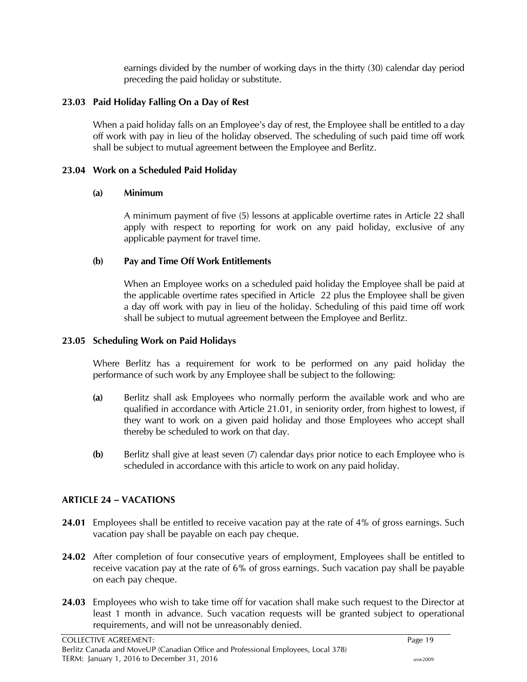earnings divided by the number of working days in the thirty (30) calendar day period preceding the paid holiday or substitute.

# <span id="page-22-0"></span>**23.03 Paid Holiday Falling On a Day of Rest**

When a paid holiday falls on an Employee's day of rest, the Employee shall be entitled to a day off work with pay in lieu of the holiday observed. The scheduling of such paid time off work shall be subject to mutual agreement between the Employee and Berlitz.

# <span id="page-22-1"></span>**23.04 Work on a Scheduled Paid Holiday**

# **(a) Minimum**

A minimum payment of five (5) lessons at applicable overtime rates in Article 22 shall apply with respect to reporting for work on any paid holiday, exclusive of any applicable payment for travel time.

# **(b) Pay and Time Off Work Entitlements**

When an Employee works on a scheduled paid holiday the Employee shall be paid at the applicable overtime rates specified in Article 22 plus the Employee shall be given a day off work with pay in lieu of the holiday. Scheduling of this paid time off work shall be subject to mutual agreement between the Employee and Berlitz.

### <span id="page-22-2"></span>**23.05 Scheduling Work on Paid Holidays**

Where Berlitz has a requirement for work to be performed on any paid holiday the performance of such work by any Employee shall be subject to the following:

- **(a)** Berlitz shall ask Employees who normally perform the available work and who are qualified in accordance with Article 21.01, in seniority order, from highest to lowest, if they want to work on a given paid holiday and those Employees who accept shall thereby be scheduled to work on that day.
- **(b)** Berlitz shall give at least seven (7) calendar days prior notice to each Employee who is scheduled in accordance with this article to work on any paid holiday.

# <span id="page-22-3"></span>**ARTICLE 24 – VACATIONS**

- **24.01** Employees shall be entitled to receive vacation pay at the rate of 4% of gross earnings. Such vacation pay shall be payable on each pay cheque.
- **24.02** After completion of four consecutive years of employment, Employees shall be entitled to receive vacation pay at the rate of 6% of gross earnings. Such vacation pay shall be payable on each pay cheque.
- **24.03** Employees who wish to take time off for vacation shall make such request to the Director at least 1 month in advance. Such vacation requests will be granted subject to operational requirements, and will not be unreasonably denied.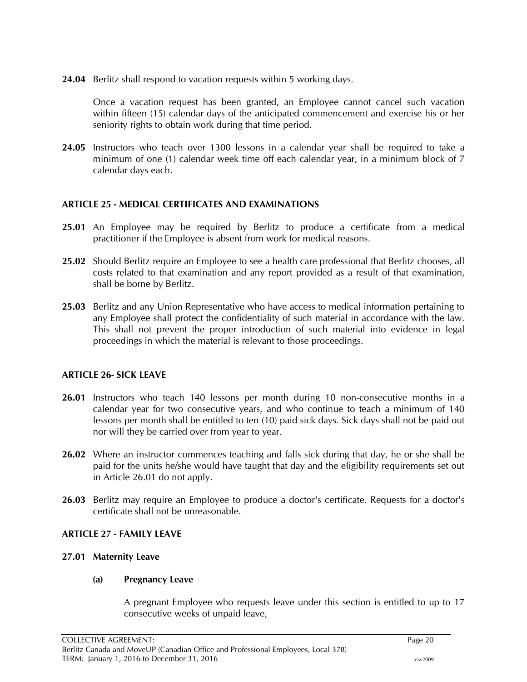**24.04** Berlitz shall respond to vacation requests within 5 working days.

Once a vacation request has been granted, an Employee cannot cancel such vacation within fifteen (15) calendar days of the anticipated commencement and exercise his or her seniority rights to obtain work during that time period.

**24.05** Instructors who teach over 1300 lessons in a calendar year shall be required to take a minimum of one (1) calendar week time off each calendar year, in a minimum block of 7 calendar days each.

#### <span id="page-23-0"></span>**ARTICLE 25 - MEDICAL CERTIFICATES AND EXAMINATIONS**

- **25.01** An Employee may be required by Berlitz to produce a certificate from a medical practitioner if the Employee is absent from work for medical reasons.
- **25.02** Should Berlitz require an Employee to see a health care professional that Berlitz chooses, all costs related to that examination and any report provided as a result of that examination, shall be borne by Berlitz.
- **25.03** Berlitz and any Union Representative who have access to medical information pertaining to any Employee shall protect the confidentiality of such material in accordance with the law. This shall not prevent the proper introduction of such material into evidence in legal proceedings in which the material is relevant to those proceedings.

#### <span id="page-23-1"></span>**ARTICLE 26- SICK LEAVE**

- **26.01** Instructors who teach 140 lessons per month during 10 non-consecutive months in a calendar year for two consecutive years, and who continue to teach a minimum of 140 lessons per month shall be entitled to ten (10) paid sick days. Sick days shall not be paid out nor will they be carried over from year to year.
- **26.02** Where an instructor commences teaching and falls sick during that day, he or she shall be paid for the units he/she would have taught that day and the eligibility requirements set out in Article 26.01 do not apply.
- **26.03** Berlitz may require an Employee to produce a doctor's certificate. Requests for a doctor's certificate shall not be unreasonable.

#### <span id="page-23-2"></span>**ARTICLE 27 - FAMILY LEAVE**

#### <span id="page-23-3"></span>**27.01 Maternity Leave**

#### **(a) Pregnancy Leave**

A pregnant Employee who requests leave under this section is entitled to up to 17 consecutive weeks of unpaid leave,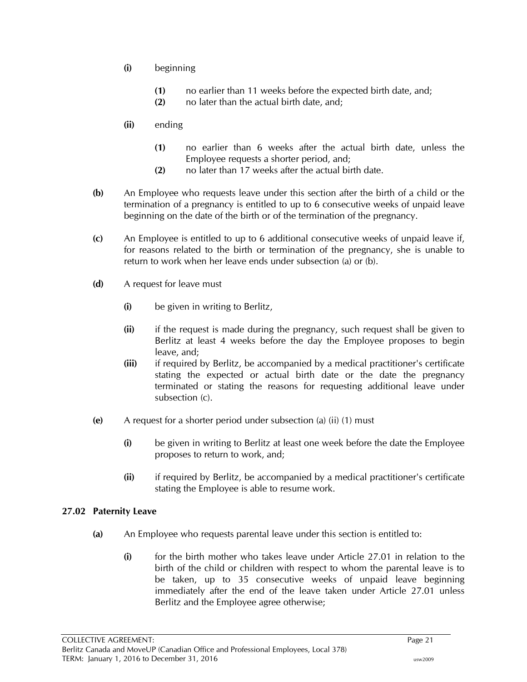- **(i)** beginning
	- **(1)** no earlier than 11 weeks before the expected birth date, and;
	- **(2)** no later than the actual birth date, and;
- **(ii)** ending
	- **(1)** no earlier than 6 weeks after the actual birth date, unless the Employee requests a shorter period, and;
	- **(2)** no later than 17 weeks after the actual birth date.
- **(b)** An Employee who requests leave under this section after the birth of a child or the termination of a pregnancy is entitled to up to 6 consecutive weeks of unpaid leave beginning on the date of the birth or of the termination of the pregnancy.
- **(c)** An Employee is entitled to up to 6 additional consecutive weeks of unpaid leave if, for reasons related to the birth or termination of the pregnancy, she is unable to return to work when her leave ends under subsection (a) or (b).
- **(d)** A request for leave must
	- **(i)** be given in writing to Berlitz,
	- **(ii)** if the request is made during the pregnancy, such request shall be given to Berlitz at least 4 weeks before the day the Employee proposes to begin leave, and;
	- **(iii)** if required by Berlitz, be accompanied by a medical practitioner's certificate stating the expected or actual birth date or the date the pregnancy terminated or stating the reasons for requesting additional leave under subsection (c).
- **(e)** A request for a shorter period under subsection (a) (ii) (1) must
	- **(i)** be given in writing to Berlitz at least one week before the date the Employee proposes to return to work, and;
	- **(ii)** if required by Berlitz, be accompanied by a medical practitioner's certificate stating the Employee is able to resume work.

#### <span id="page-24-0"></span>**27.02 Paternity Leave**

- **(a)** An Employee who requests parental leave under this section is entitled to:
	- **(i)** for the birth mother who takes leave under Article 27.01 in relation to the birth of the child or children with respect to whom the parental leave is to be taken, up to 35 consecutive weeks of unpaid leave beginning immediately after the end of the leave taken under Article 27.01 unless Berlitz and the Employee agree otherwise;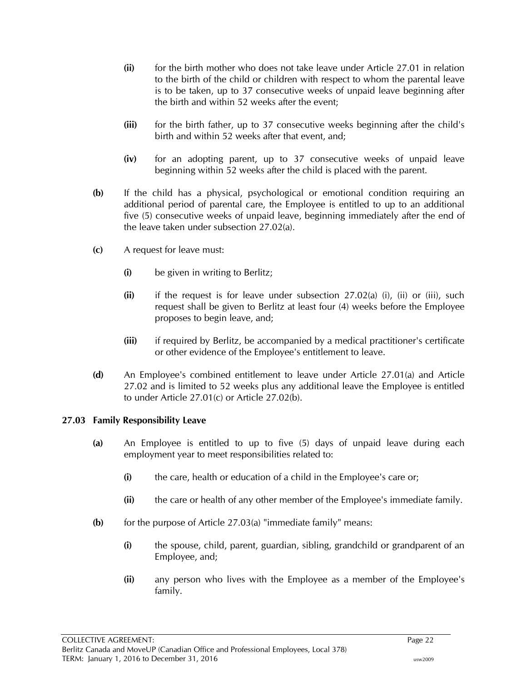- **(ii)** for the birth mother who does not take leave under Article 27.01 in relation to the birth of the child or children with respect to whom the parental leave is to be taken, up to 37 consecutive weeks of unpaid leave beginning after the birth and within 52 weeks after the event;
- **(iii)** for the birth father, up to 37 consecutive weeks beginning after the child's birth and within 52 weeks after that event, and;
- **(iv)** for an adopting parent, up to 37 consecutive weeks of unpaid leave beginning within 52 weeks after the child is placed with the parent.
- **(b)** If the child has a physical, psychological or emotional condition requiring an additional period of parental care, the Employee is entitled to up to an additional five (5) consecutive weeks of unpaid leave, beginning immediately after the end of the leave taken under subsection 27.02(a).
- **(c)** A request for leave must:
	- **(i)** be given in writing to Berlitz;
	- **(ii)** if the request is for leave under subsection 27.02(a) (i), (ii) or (iii), such request shall be given to Berlitz at least four (4) weeks before the Employee proposes to begin leave, and;
	- **(iii)** if required by Berlitz, be accompanied by a medical practitioner's certificate or other evidence of the Employee's entitlement to leave.
- **(d)** An Employee's combined entitlement to leave under Article 27.01(a) and Article 27.02 and is limited to 52 weeks plus any additional leave the Employee is entitled to under Article 27.01(c) or Article 27.02(b).

#### <span id="page-25-0"></span>**27.03 Family Responsibility Leave**

- **(a)** An Employee is entitled to up to five (5) days of unpaid leave during each employment year to meet responsibilities related to:
	- **(i)** the care, health or education of a child in the Employee's care or;
	- **(ii)** the care or health of any other member of the Employee's immediate family.
- **(b)** for the purpose of Article 27.03(a) "immediate family" means:
	- **(i)** the spouse, child, parent, guardian, sibling, grandchild or grandparent of an Employee, and;
	- **(ii)** any person who lives with the Employee as a member of the Employee's family.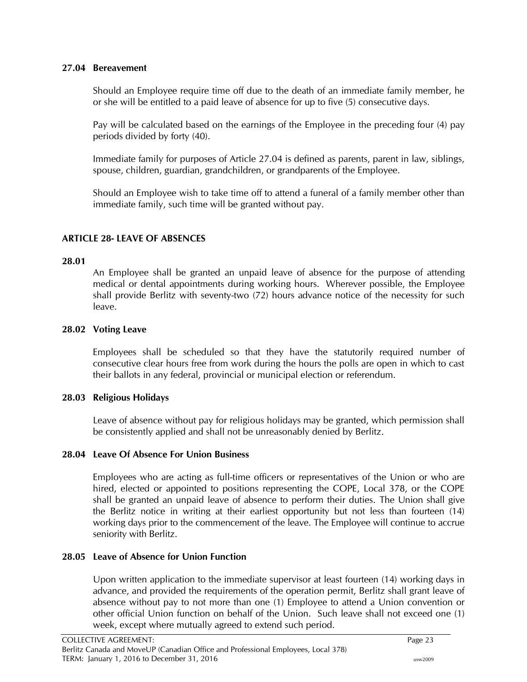#### <span id="page-26-0"></span>**27.04 Bereavement**

Should an Employee require time off due to the death of an immediate family member, he or she will be entitled to a paid leave of absence for up to five (5) consecutive days.

Pay will be calculated based on the earnings of the Employee in the preceding four (4) pay periods divided by forty (40).

Immediate family for purposes of Article 27.04 is defined as parents, parent in law, siblings, spouse, children, guardian, grandchildren, or grandparents of the Employee.

Should an Employee wish to take time off to attend a funeral of a family member other than immediate family, such time will be granted without pay.

# <span id="page-26-1"></span>**ARTICLE 28- LEAVE OF ABSENCES**

#### <span id="page-26-2"></span>**28.01**

An Employee shall be granted an unpaid leave of absence for the purpose of attending medical or dental appointments during working hours. Wherever possible, the Employee shall provide Berlitz with seventy-two (72) hours advance notice of the necessity for such leave.

#### <span id="page-26-3"></span>**28.02 Voting Leave**

Employees shall be scheduled so that they have the statutorily required number of consecutive clear hours free from work during the hours the polls are open in which to cast their ballots in any federal, provincial or municipal election or referendum.

#### <span id="page-26-4"></span>**28.03 Religious Holidays**

Leave of absence without pay for religious holidays may be granted, which permission shall be consistently applied and shall not be unreasonably denied by Berlitz.

#### <span id="page-26-5"></span>**28.04 Leave Of Absence For Union Business**

Employees who are acting as full-time officers or representatives of the Union or who are hired, elected or appointed to positions representing the COPE, Local 378, or the COPE shall be granted an unpaid leave of absence to perform their duties. The Union shall give the Berlitz notice in writing at their earliest opportunity but not less than fourteen (14) working days prior to the commencement of the leave. The Employee will continue to accrue seniority with Berlitz.

#### <span id="page-26-6"></span>**28.05 Leave of Absence for Union Function**

Upon written application to the immediate supervisor at least fourteen (14) working days in advance, and provided the requirements of the operation permit, Berlitz shall grant leave of absence without pay to not more than one (1) Employee to attend a Union convention or other official Union function on behalf of the Union. Such leave shall not exceed one (1) week, except where mutually agreed to extend such period.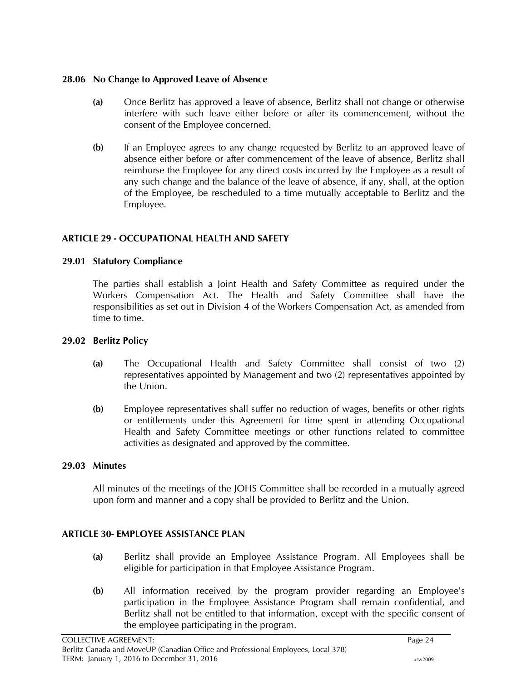### <span id="page-27-0"></span>**28.06 No Change to Approved Leave of Absence**

- **(a)** Once Berlitz has approved a leave of absence, Berlitz shall not change or otherwise interfere with such leave either before or after its commencement, without the consent of the Employee concerned.
- **(b)** If an Employee agrees to any change requested by Berlitz to an approved leave of absence either before or after commencement of the leave of absence, Berlitz shall reimburse the Employee for any direct costs incurred by the Employee as a result of any such change and the balance of the leave of absence, if any, shall, at the option of the Employee, be rescheduled to a time mutually acceptable to Berlitz and the Employee.

# <span id="page-27-1"></span>**ARTICLE 29 - OCCUPATIONAL HEALTH AND SAFETY**

# <span id="page-27-2"></span>**29.01 Statutory Compliance**

The parties shall establish a Joint Health and Safety Committee as required under the Workers Compensation Act. The Health and Safety Committee shall have the responsibilities as set out in Division 4 of the Workers Compensation Act, as amended from time to time.

# <span id="page-27-3"></span>**29.02 Berlitz Policy**

- **(a)** The Occupational Health and Safety Committee shall consist of two (2) representatives appointed by Management and two (2) representatives appointed by the Union.
- **(b)** Employee representatives shall suffer no reduction of wages, benefits or other rights or entitlements under this Agreement for time spent in attending Occupational Health and Safety Committee meetings or other functions related to committee activities as designated and approved by the committee.

# <span id="page-27-4"></span>**29.03 Minutes**

All minutes of the meetings of the JOHS Committee shall be recorded in a mutually agreed upon form and manner and a copy shall be provided to Berlitz and the Union.

# <span id="page-27-5"></span>**ARTICLE 30- EMPLOYEE ASSISTANCE PLAN**

- **(a)** Berlitz shall provide an Employee Assistance Program. All Employees shall be eligible for participation in that Employee Assistance Program.
- **(b)** All information received by the program provider regarding an Employee's participation in the Employee Assistance Program shall remain confidential, and Berlitz shall not be entitled to that information, except with the specific consent of the employee participating in the program.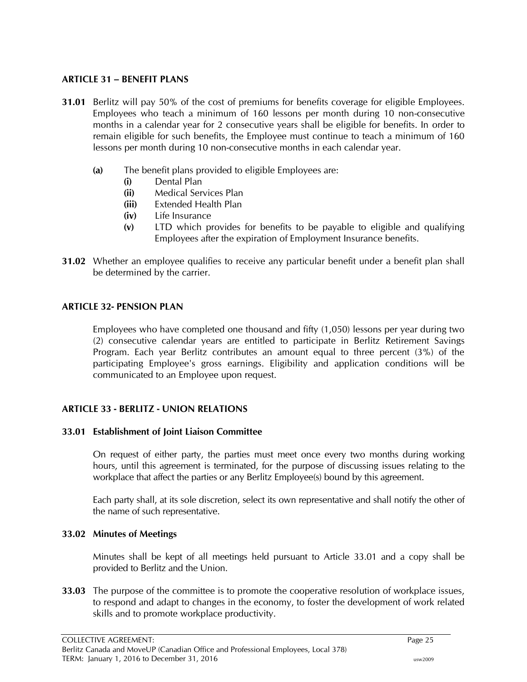#### <span id="page-28-0"></span>**ARTICLE 31 – BENEFIT PLANS**

- **31.01** Berlitz will pay 50% of the cost of premiums for benefits coverage for eligible Employees. Employees who teach a minimum of 160 lessons per month during 10 non-consecutive months in a calendar year for 2 consecutive years shall be eligible for benefits. In order to remain eligible for such benefits, the Employee must continue to teach a minimum of 160 lessons per month during 10 non-consecutive months in each calendar year.
	- **(a)** The benefit plans provided to eligible Employees are:
		- **(i)** Dental Plan
		- **(ii)** Medical Services Plan
		- **(iii)** Extended Health Plan
		- **(iv)** Life Insurance
		- **(v)** LTD which provides for benefits to be payable to eligible and qualifying Employees after the expiration of Employment Insurance benefits.
- **31.02** Whether an employee qualifies to receive any particular benefit under a benefit plan shall be determined by the carrier.

#### <span id="page-28-1"></span>**ARTICLE 32- PENSION PLAN**

Employees who have completed one thousand and fifty (1,050) lessons per year during two (2) consecutive calendar years are entitled to participate in Berlitz Retirement Savings Program. Each year Berlitz contributes an amount equal to three percent (3%) of the participating Employee's gross earnings. Eligibility and application conditions will be communicated to an Employee upon request.

#### <span id="page-28-2"></span>**ARTICLE 33 - BERLITZ - UNION RELATIONS**

#### <span id="page-28-3"></span>**33.01 Establishment of Joint Liaison Committee**

On request of either party, the parties must meet once every two months during working hours, until this agreement is terminated, for the purpose of discussing issues relating to the workplace that affect the parties or any Berlitz Employee(s) bound by this agreement.

Each party shall, at its sole discretion, select its own representative and shall notify the other of the name of such representative.

#### <span id="page-28-4"></span>**33.02 Minutes of Meetings**

Minutes shall be kept of all meetings held pursuant to Article 33.01 and a copy shall be provided to Berlitz and the Union.

**33.03** The purpose of the committee is to promote the cooperative resolution of workplace issues, to respond and adapt to changes in the economy, to foster the development of work related skills and to promote workplace productivity.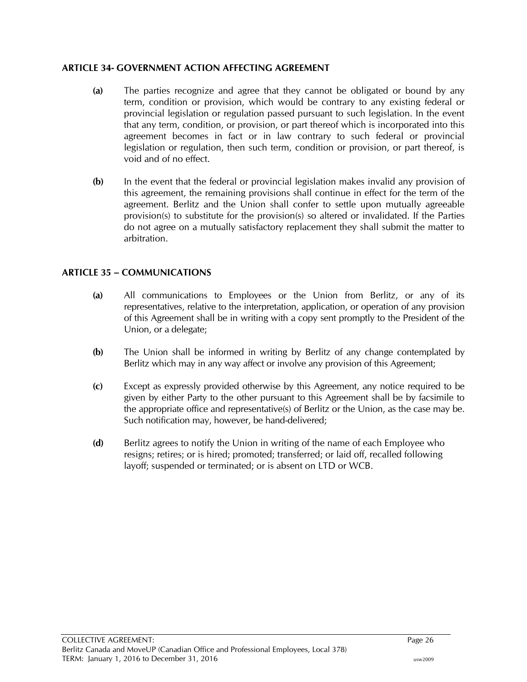# <span id="page-29-0"></span>**ARTICLE 34- GOVERNMENT ACTION AFFECTING AGREEMENT**

- **(a)** The parties recognize and agree that they cannot be obligated or bound by any term, condition or provision, which would be contrary to any existing federal or provincial legislation or regulation passed pursuant to such legislation. In the event that any term, condition, or provision, or part thereof which is incorporated into this agreement becomes in fact or in law contrary to such federal or provincial legislation or regulation, then such term, condition or provision, or part thereof, is void and of no effect.
- **(b)** In the event that the federal or provincial legislation makes invalid any provision of this agreement, the remaining provisions shall continue in effect for the term of the agreement. Berlitz and the Union shall confer to settle upon mutually agreeable provision(s) to substitute for the provision(s) so altered or invalidated. If the Parties do not agree on a mutually satisfactory replacement they shall submit the matter to arbitration.

# <span id="page-29-1"></span>**ARTICLE 35 – COMMUNICATIONS**

- **(a)** All communications to Employees or the Union from Berlitz, or any of its representatives, relative to the interpretation, application, or operation of any provision of this Agreement shall be in writing with a copy sent promptly to the President of the Union, or a delegate;
- **(b)** The Union shall be informed in writing by Berlitz of any change contemplated by Berlitz which may in any way affect or involve any provision of this Agreement;
- **(c)** Except as expressly provided otherwise by this Agreement, any notice required to be given by either Party to the other pursuant to this Agreement shall be by facsimile to the appropriate office and representative(s) of Berlitz or the Union, as the case may be. Such notification may, however, be hand-delivered;
- **(d)** Berlitz agrees to notify the Union in writing of the name of each Employee who resigns; retires; or is hired; promoted; transferred; or laid off, recalled following layoff; suspended or terminated; or is absent on LTD or WCB.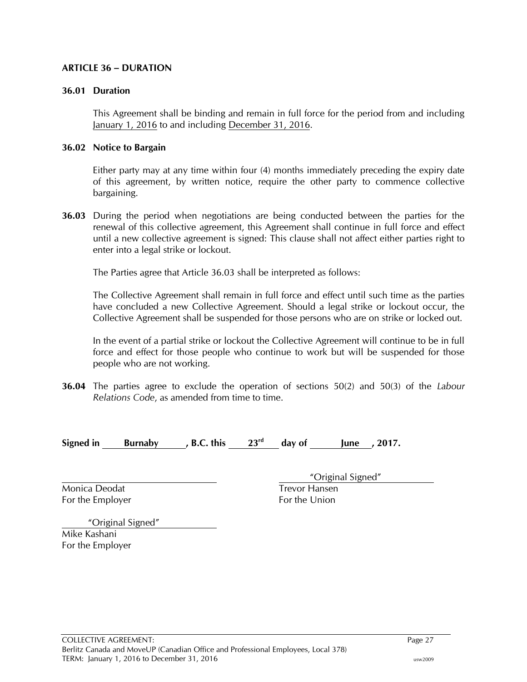#### <span id="page-30-0"></span>**ARTICLE 36 – DURATION**

#### <span id="page-30-1"></span>**36.01 Duration**

This Agreement shall be binding and remain in full force for the period from and including January 1, 2016 to and including December 31, 2016.

#### <span id="page-30-2"></span>**36.02 Notice to Bargain**

Either party may at any time within four (4) months immediately preceding the expiry date of this agreement, by written notice, require the other party to commence collective bargaining.

<span id="page-30-3"></span>**36.03** During the period when negotiations are being conducted between the parties for the renewal of this collective agreement, this Agreement shall continue in full force and effect until a new collective agreement is signed: This clause shall not affect either parties right to enter into a legal strike or lockout.

The Parties agree that Article 36.03 shall be interpreted as follows:

The Collective Agreement shall remain in full force and effect until such time as the parties have concluded a new Collective Agreement. Should a legal strike or lockout occur, the Collective Agreement shall be suspended for those persons who are on strike or locked out.

In the event of a partial strike or lockout the Collective Agreement will continue to be in full force and effect for those people who continue to work but will be suspended for those people who are not working.

<span id="page-30-4"></span>**36.04** The parties agree to exclude the operation of sections 50(2) and 50(3) of the *Labour Relations Code*, as amended from time to time.

| Signed in | <b>Burnaby</b> | <b>B.C. this</b> | 23 <sup>rd</sup> | day of | lune | , 2017. |
|-----------|----------------|------------------|------------------|--------|------|---------|
|           |                |                  |                  |        |      |         |

Monica Deodat Trevor Hansen For the Employer For the Union

"Original Signed"

 "Original Signed" Mike Kashani For the Employer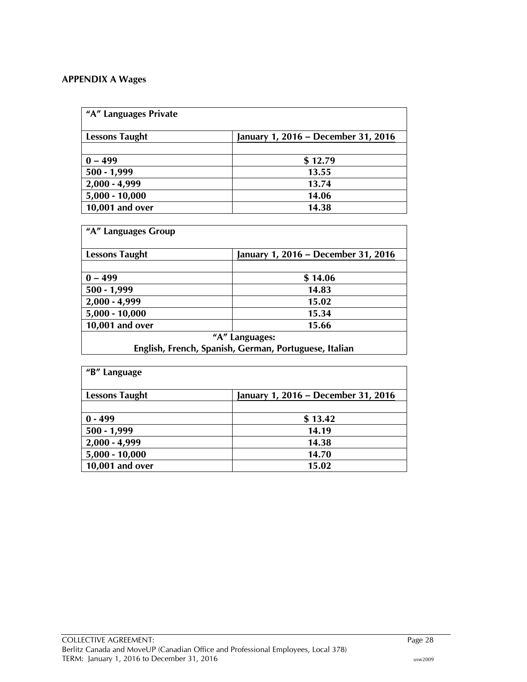# <span id="page-31-0"></span>**APPENDIX A Wages**

| "A" Languages Private |                                     |  |
|-----------------------|-------------------------------------|--|
| <b>Lessons Taught</b> | January 1, 2016 – December 31, 2016 |  |
|                       |                                     |  |
| $0 - 499$             | \$12.79                             |  |
| $500 - 1,999$         | 13.55                               |  |
| $2,000 - 4,999$       | 13.74                               |  |
| $5,000 - 10,000$      | 14.06                               |  |
| 10,001 and over       | 14.38                               |  |

| "A" Languages Group   |                                                       |
|-----------------------|-------------------------------------------------------|
| <b>Lessons Taught</b> | January 1, 2016 – December 31, 2016                   |
|                       |                                                       |
| $0 - 499$             | \$14.06                                               |
| $500 - 1,999$         | 14.83                                                 |
| $2,000 - 4,999$       | 15.02                                                 |
| $5,000 - 10,000$      | 15.34                                                 |
| 10,001 and over       | 15.66                                                 |
|                       | "A" Languages:                                        |
|                       | English, French, Spanish, German, Portuguese, Italian |

| "B" Language          |                                     |
|-----------------------|-------------------------------------|
| <b>Lessons Taught</b> | January 1, 2016 – December 31, 2016 |
|                       |                                     |
| $0 - 499$             | \$13.42                             |
| $500 - 1,999$         | 14.19                               |
| $2,000 - 4,999$       | 14.38                               |
| $5,000 - 10,000$      | 14.70                               |
| 10,001 and over       | 15.02                               |